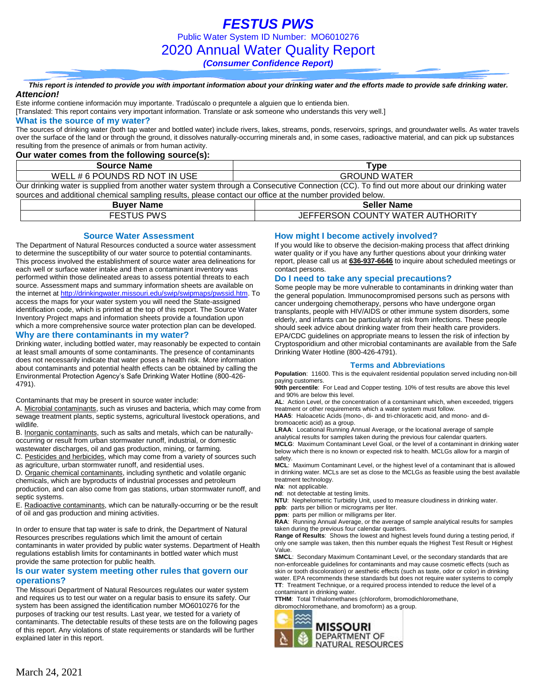*FESTUS PWS* Public Water System ID Number: MO6010276 2020 Annual Water Quality Report *(Consumer Confidence Report)*

*This report is intended to provide you with important information about your drinking water and the efforts made to provide safe drinking water. Attencion!*

Este informe contiene información muy importante. Tradúscalo o prequntele a alguien que lo entienda bien.

[Translated: This report contains very important information. Translate or ask someone who understands this very well.]

### **What is the source of my water?**

The sources of drinking water (both tap water and bottled water) include rivers, lakes, streams, ponds, reservoirs, springs, and groundwater wells. As water travels over the surface of the land or through the ground, it dissolves naturally-occurring minerals and, in some cases, radioactive material, and can pick up substances resulting from the presence of animals or from human activity.

### **Our water comes from the following source(s):**

| <b>Source Name</b>            | Type                                                                                                                                      |
|-------------------------------|-------------------------------------------------------------------------------------------------------------------------------------------|
| WELL # 6 POUNDS RD NOT IN USE | <b>GROUND WATER</b>                                                                                                                       |
|                               | Our drinking water is supplied from another water system through a Consecutive Connection (CC). To find out more about our drinking water |

| sources and additional chemical sampling results, please contact our office at the number provided below. |                                  |  |  |  |  |  |
|-----------------------------------------------------------------------------------------------------------|----------------------------------|--|--|--|--|--|
| <b>Buver Name</b>                                                                                         | <b>Seller Name</b>               |  |  |  |  |  |
| <b>FESTUS PWS</b>                                                                                         | JEFFERSON COUNTY WATER AUTHORITY |  |  |  |  |  |

### **Source Water Assessment**

The Department of Natural Resources conducted a source water assessment to determine the susceptibility of our water source to potential contaminants. This process involved the establishment of source water area delineations for each well or surface water intake and then a contaminant inventory was performed within those delineated areas to assess potential threats to each source. Assessment maps and summary information sheets are available on the internet a[t http://drinkingwater.missouri.edu/swip/swipmaps/pwssid.htm.](http://drinkingwater.missouri.edu/swip/swipmaps/pwssid.htm) To access the maps for your water system you will need the State-assigned identification code, which is printed at the top of this report. The Source Water Inventory Project maps and information sheets provide a foundation upon which a more comprehensive source water protection plan can be developed.

#### **Why are there contaminants in my water?**

Drinking water, including bottled water, may reasonably be expected to contain at least small amounts of some contaminants. The presence of contaminants does not necessarily indicate that water poses a health risk. More information about contaminants and potential health effects can be obtained by calling the Environmental Protection Agency's Safe Drinking Water Hotline (800-426- 4791).

Contaminants that may be present in source water include:

A. Microbial contaminants, such as viruses and bacteria, which may come from sewage treatment plants, septic systems, agricultural livestock operations, and wildlife.

B. Inorganic contaminants, such as salts and metals, which can be naturallyoccurring or result from urban stormwater runoff, industrial, or domestic wastewater discharges, oil and gas production, mining, or farming.

C. Pesticides and herbicides, which may come from a variety of sources such as agriculture, urban stormwater runoff, and residential uses.

D. Organic chemical contaminants, including synthetic and volatile organic chemicals, which are byproducts of industrial processes and petroleum production, and can also come from gas stations, urban stormwater runoff, and septic systems.

E. Radioactive contaminants, which can be naturally-occurring or be the result of oil and gas production and mining activities.

In order to ensure that tap water is safe to drink, the Department of Natural Resources prescribes regulations which limit the amount of certain contaminants in water provided by public water systems. Department of Health regulations establish limits for contaminants in bottled water which must provide the same protection for public health.

### **Is our water system meeting other rules that govern our operations?**

The Missouri Department of Natural Resources regulates our water system and requires us to test our water on a regular basis to ensure its safety. Our system has been assigned the identification number MO6010276 for the purposes of tracking our test results. Last year, we tested for a variety of contaminants. The detectable results of these tests are on the following pages of this report. Any violations of state requirements or standards will be further explained later in this report.

### **How might I become actively involved?**

If you would like to observe the decision-making process that affect drinking water quality or if you have any further questions about your drinking water report, please call us at **636-937-6646** to inquire about scheduled meetings or contact persons.

### **Do I need to take any special precautions?**

Some people may be more vulnerable to contaminants in drinking water than the general population. Immunocompromised persons such as persons with cancer undergoing chemotherapy, persons who have undergone organ transplants, people with HIV/AIDS or other immune system disorders, some elderly, and infants can be particularly at risk from infections. These people should seek advice about drinking water from their health care providers. EPA/CDC guidelines on appropriate means to lessen the risk of infection by Cryptosporidium and other microbial contaminants are available from the Safe Drinking Water Hotline (800-426-4791).

#### **Terms and Abbreviations**

**Population**: 11600. This is the equivalent residential population served including non-bill paying customers.

**90th percentile**: For Lead and Copper testing. 10% of test results are above this level and 90% are below this level.

**AL**: Action Level, or the concentration of a contaminant which, when exceeded, triggers treatment or other requirements which a water system must follow.

**HAA5**: Haloacetic Acids (mono-, di- and tri-chloracetic acid, and mono- and dibromoacetic acid) as a group.

**LRAA**: Locational Running Annual Average, or the locational average of sample analytical results for samples taken during the previous four calendar quarters. **MCLG**: Maximum Contaminant Level Goal, or the level of a contaminant in drinking water below which there is no known or expected risk to health. MCLGs allow for a margin of

safety. **MCL**: Maximum Contaminant Level, or the highest level of a contaminant that is allowed in drinking water. MCLs are set as close to the MCLGs as feasible using the best available treatment technology.

**n/a**: not applicable.

**nd**: not detectable at testing limits.

**NTU**: Nephelometric Turbidity Unit, used to measure cloudiness in drinking water.

**ppb**: parts per billion or micrograms per liter. **ppm**: parts per million or milligrams per liter.

**RAA**: Running Annual Average, or the average of sample analytical results for samples taken during the previous four calendar quarters.

**Range of Results**: Shows the lowest and highest levels found during a testing period, if only one sample was taken, then this number equals the Highest Test Result or Highest Value.

**SMCL**: Secondary Maximum Contaminant Level, or the secondary standards that are non-enforceable guidelines for contaminants and may cause cosmetic effects (such as skin or tooth discoloration) or aesthetic effects (such as taste, odor or color) in drinking water. EPA recommends these standards but does not require water systems to comply **TT**: Treatment Technique, or a required process intended to reduce the level of a contaminant in drinking water.

**TTHM**: Total Trihalomethanes (chloroform, bromodichloromethane, dibromochloromethane, and bromoform) as a group.

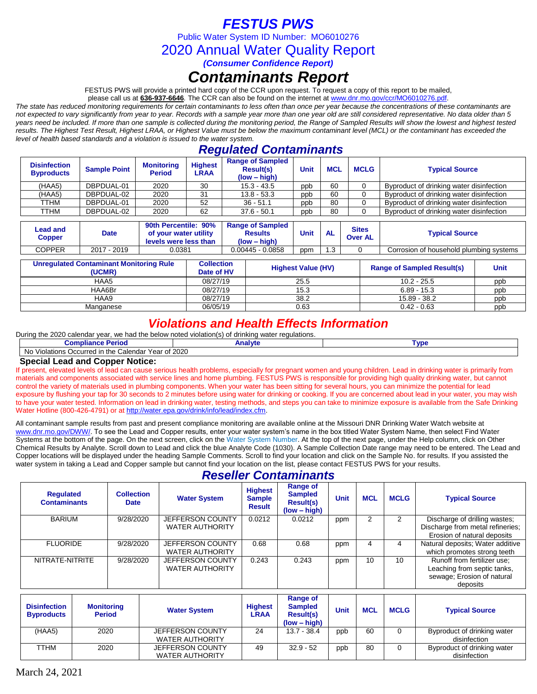# *FESTUS PWS*

Public Water System ID Number: MO6010276

2020 Annual Water Quality Report

*(Consumer Confidence Report)*

# *Contaminants Report*

FESTUS PWS will provide a printed hard copy of the CCR upon request. To request a copy of this report to be mailed,

please call us at **636-937-6646***.* The CCR can also be found on the internet at www.dnr.mo.gov/ccr/MO6010276.pdf.

*The state has reduced monitoring requirements for certain contaminants to less often than once per year because the concentrations of these contaminants are not expected to vary significantly from year to year. Records with a sample year more than one year old are still considered representative. No data older than 5 years need be included. If more than one sample is collected during the monitoring period, the Range of Sampled Results will show the lowest and highest tested results. The Highest Test Result, Highest LRAA, or Highest Value must be below the maximum contaminant level (MCL) or the contaminant has exceeded the level of health based standards and a violation is issued to the water system.* 

## *Regulated Contaminants*

| <b>Disinfection</b><br><b>Byproducts</b> | <b>Sample Point</b> | <b>Monitoring</b><br><b>Period</b> | <b>Highest</b><br>LRAA | <b>Range of Sampled</b><br><b>Result(s)</b><br>$(low - high)$ | Unit | <b>MCL</b> | <b>MCLG</b> | <b>Typical Source</b>                    |
|------------------------------------------|---------------------|------------------------------------|------------------------|---------------------------------------------------------------|------|------------|-------------|------------------------------------------|
| (HAA5)                                   | DBPDUAL-01          | 2020                               | 30                     | $15.3 - 43.5$                                                 | ppb  | 60         |             | Byproduct of drinking water disinfection |
| (HAA5)                                   | DBPDUAL-02          | 2020                               | 31                     | $13.8 - 53.3$                                                 | ppb  | 60         |             | Byproduct of drinking water disinfection |
| TTHM                                     | DBPDUAL-01          | 2020                               | 52                     | $36 - 51.1$                                                   | ppb  | 80         |             | Byproduct of drinking water disinfection |
| TTHM                                     | DBPDUAL-02          | 2020                               | 62                     | $37.6 - 50.1$                                                 | ppb  | 80         |             | Byproduct of drinking water disinfection |

| Lead and<br>Copper | <b>Date</b> | 90th Percentile: 90%<br>of your water utility<br>levels were less than | <b>Range of Sampled</b><br>Results<br>$(low - high)$ | <b>Unit</b> | AL  | <b>Sites</b><br><b>Over AL</b> | <b>Typical Source</b>                   |
|--------------------|-------------|------------------------------------------------------------------------|------------------------------------------------------|-------------|-----|--------------------------------|-----------------------------------------|
| COPPER             | 2017 - 2019 | 0.0381                                                                 | 0.00445 - 0.0858                                     | ppm         | '.3 |                                | Corrosion of household plumbing systems |

| <b>Unregulated Contaminant Monitoring Rule</b><br>(UCMR) | <b>Collection</b><br>Date of HV | <b>Highest Value (HV)</b> | <b>Range of Sampled Result(s)</b> | <b>Unit</b> |
|----------------------------------------------------------|---------------------------------|---------------------------|-----------------------------------|-------------|
| HAA5                                                     | 08/27/19                        | 25.5                      | $10.2 - 25.5$                     | ppp         |
| HAA6Br                                                   | 08/27/19                        | 15.3                      | $6.89 - 15.3$                     | ppb         |
| HAA9                                                     | 08/27/19                        | 38.2                      | 15.89 - 38.2                      | ppb         |
| Manganese                                                | 06/05/19                        | 0.63                      | $0.42 - 0.63$                     | ppb         |

## *Violations and Health Effects Information*

| Durina<br>a the 2020 $\,$<br>2020 calendar vear.<br>' ∨iolation(s)∶<br>, we had the below noted<br><sup>t</sup> drinking water regulations.<br>∩t |         |           |  |  |  |  |  |
|---------------------------------------------------------------------------------------------------------------------------------------------------|---------|-----------|--|--|--|--|--|
| <b>Compliance Period</b>                                                                                                                          | Analvte | <b>VD</b> |  |  |  |  |  |
| Calendar Year of 2020<br>$\cdots$<br>/iolations Occurred in the 0<br><b>10</b><br>. $1/n$<br>мu                                                   |         |           |  |  |  |  |  |

### **Special Lead and Copper Notice:**

If present, elevated levels of lead can cause serious health problems, especially for pregnant women and young children. Lead in drinking water is primarily from materials and components associated with service lines and home plumbing. FESTUS PWS is responsible for providing high quality drinking water, but cannot control the variety of materials used in plumbing components. When your water has been sitting for several hours, you can minimize the potential for lead exposure by flushing your tap for 30 seconds to 2 minutes before using water for drinking or cooking. If you are concerned about lead in your water, you may wish to have your water tested. Information on lead in drinking water, testing methods, and steps you can take to minimize exposure is available from the Safe Drinking Water Hotline (800-426-4791) or at [http://water.epa.gov/drink/info/lead/index.cfm.](http://water.epa.gov/drink/info/lead/index.cfm)

All contaminant sample results from past and present compliance monitoring are available online at the Missouri DNR Drinking Water Watch website at [www.dnr.mo.gov/DWW/.](http://www.dnr.mo.gov/DWW/) To see the Lead and Copper results, enter your water system's name in the box titled Water System Name, then select Find Water Systems at the bottom of the page. On the next screen, click on the Water System Number. At the top of the next page, under the Help column, click on Other Chemical Results by Analyte. Scroll down to Lead and click the blue Analyte Code (1030). A Sample Collection Date range may need to be entered. The Lead and Copper locations will be displayed under the heading Sample Comments. Scroll to find your location and click on the Sample No. for results. If you assisted the water system in taking a Lead and Copper sample but cannot find your location on the list, please contact FESTUS PWS for your results.

### *Reseller Contaminants*

| <b>Regulated</b><br><b>Contaminants</b> | <b>Collection</b><br><b>Date</b> | <b>Water System</b>                        | <b>Highest</b><br><b>Sample</b><br><b>Result</b> | <b>Range of</b><br><b>Sampled</b><br><b>Result(s)</b><br>$(low - high)$ | <b>Unit</b> | <b>MCL</b> | <b>MCLG</b> | <b>Typical Source</b>                                                                                |
|-----------------------------------------|----------------------------------|--------------------------------------------|--------------------------------------------------|-------------------------------------------------------------------------|-------------|------------|-------------|------------------------------------------------------------------------------------------------------|
| <b>BARIUM</b>                           | 9/28/2020                        | JEFFERSON COUNTY<br><b>WATER AUTHORITY</b> | 0.0212                                           | 0.0212                                                                  | ppm         |            |             | Discharge of drilling wastes;<br>Discharge from metal refineries;<br>Erosion of natural deposits     |
| <b>FLUORIDE</b>                         | 9/28/2020                        | JEFFERSON COUNTY<br><b>WATER AUTHORITY</b> | 0.68                                             | 0.68                                                                    | ppm         | 4          | 4           | Natural deposits; Water additive<br>which promotes strong teeth                                      |
| NITRATE-NITRITE                         | 9/28/2020                        | JEFFERSON COUNTY<br><b>WATER AUTHORITY</b> | 0.243                                            | 0.243                                                                   | ppm         | 10         | 10          | Runoff from fertilizer use;<br>Leaching from septic tanks,<br>sewage; Erosion of natural<br>deposits |

| <b>Disinfection</b><br><b>Byproducts</b> | <b>Monitoring</b><br><b>Period</b> | <b>Water System</b>                               | <b>Highest</b><br>∟RAA | Range of<br><b>Sampled</b><br><b>Result(s)</b><br>$(low - high)$ | Unit | <b>MCL</b> | <b>MCLG</b> | <b>Typical Source</b>                       |
|------------------------------------------|------------------------------------|---------------------------------------------------|------------------------|------------------------------------------------------------------|------|------------|-------------|---------------------------------------------|
| (HAA5)                                   | 2020                               | <b>JEFFERSON COUNTY</b>                           | 24                     | $13.7 - 38.4$                                                    | ppb  | 60         |             | Byproduct of drinking water                 |
|                                          |                                    | <b>WATER AUTHORITY</b>                            |                        |                                                                  |      |            |             | disinfection                                |
| TTHM                                     | 2020                               | <b>JEFFERSON COUNTY</b><br><b>WATER AUTHORITY</b> | 49                     | $32.9 - 52$                                                      | ppb  | 80         | 0           | Byproduct of drinking water<br>disinfection |